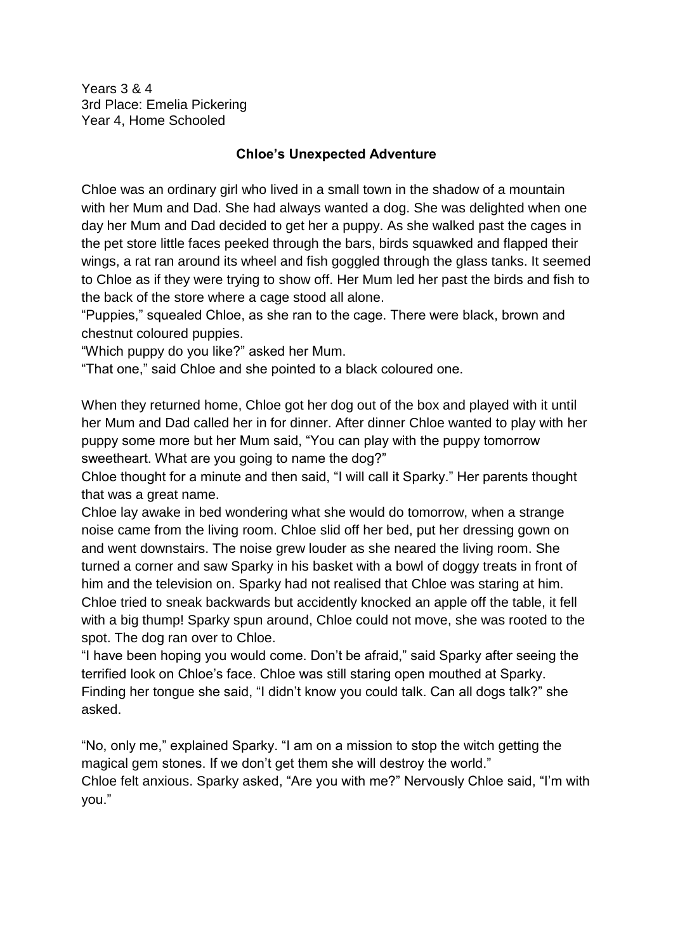Years 3 & 4 3rd Place: Emelia Pickering Year 4, Home Schooled

## **Chloe's Unexpected Adventure**

Chloe was an ordinary girl who lived in a small town in the shadow of a mountain with her Mum and Dad. She had always wanted a dog. She was delighted when one day her Mum and Dad decided to get her a puppy. As she walked past the cages in the pet store little faces peeked through the bars, birds squawked and flapped their wings, a rat ran around its wheel and fish goggled through the glass tanks. It seemed to Chloe as if they were trying to show off. Her Mum led her past the birds and fish to the back of the store where a cage stood all alone.

"Puppies," squealed Chloe, as she ran to the cage. There were black, brown and chestnut coloured puppies.

"Which puppy do you like?" asked her Mum.

"That one," said Chloe and she pointed to a black coloured one.

When they returned home, Chloe got her dog out of the box and played with it until her Mum and Dad called her in for dinner. After dinner Chloe wanted to play with her puppy some more but her Mum said, "You can play with the puppy tomorrow sweetheart. What are you going to name the dog?"

Chloe thought for a minute and then said, "I will call it Sparky." Her parents thought that was a great name.

Chloe lay awake in bed wondering what she would do tomorrow, when a strange noise came from the living room. Chloe slid off her bed, put her dressing gown on and went downstairs. The noise grew louder as she neared the living room. She turned a corner and saw Sparky in his basket with a bowl of doggy treats in front of him and the television on. Sparky had not realised that Chloe was staring at him. Chloe tried to sneak backwards but accidently knocked an apple off the table, it fell with a big thump! Sparky spun around, Chloe could not move, she was rooted to the spot. The dog ran over to Chloe.

"I have been hoping you would come. Don't be afraid," said Sparky after seeing the terrified look on Chloe's face. Chloe was still staring open mouthed at Sparky. Finding her tongue she said, "I didn't know you could talk. Can all dogs talk?" she asked.

"No, only me," explained Sparky. "I am on a mission to stop the witch getting the magical gem stones. If we don't get them she will destroy the world." Chloe felt anxious. Sparky asked, "Are you with me?" Nervously Chloe said, "I'm with you."